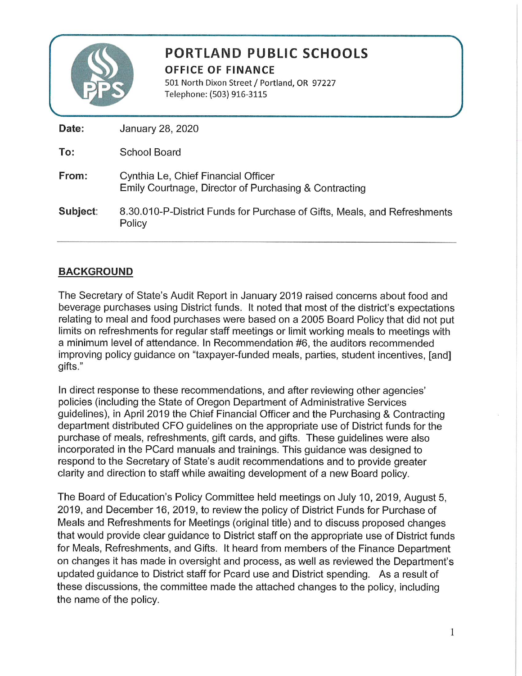

## PORTLAND PUBLIC SCHOOLS **OFFICE OF FINANCE**

501 North Dixon Street / Portland, OR 97227 Telephone: (503) 916-3115

| January 28, 2020                                                                             |
|----------------------------------------------------------------------------------------------|
| School Board                                                                                 |
| Cynthia Le, Chief Financial Officer<br>Emily Courtnage, Director of Purchasing & Contracting |
| 8.30.010-P-District Funds for Purchase of Gifts, Meals, and Refreshments<br>Policy           |
|                                                                                              |

## **BACKGROUND**

The Secretary of State's Audit Report in January 2019 raised concerns about food and beverage purchases using District funds. It noted that most of the district's expectations relating to meal and food purchases were based on a 2005 Board Policy that did not put limits on refreshments for regular staff meetings or limit working meals to meetings with a minimum level of attendance. In Recommendation #6, the auditors recommended improving policy guidance on "taxpayer-funded meals, parties, student incentives, [and] gifts."

In direct response to these recommendations, and after reviewing other agencies' policies (including the State of Oregon Department of Administrative Services guidelines), in April 2019 the Chief Financial Officer and the Purchasing & Contracting department distributed CFO guidelines on the appropriate use of District funds for the purchase of meals, refreshments, gift cards, and gifts. These guidelines were also incorporated in the PCard manuals and trainings. This guidance was designed to respond to the Secretary of State's audit recommendations and to provide greater clarity and direction to staff while awaiting development of a new Board policy.

The Board of Education's Policy Committee held meetings on July 10, 2019, August 5, 2019, and December 16, 2019, to review the policy of District Funds for Purchase of Meals and Refreshments for Meetings (original title) and to discuss proposed changes that would provide clear guidance to District staff on the appropriate use of District funds for Meals, Refreshments, and Gifts. It heard from members of the Finance Department on changes it has made in oversight and process, as well as reviewed the Department's updated guidance to District staff for Pcard use and District spending. As a result of these discussions, the committee made the attached changes to the policy, including the name of the policy.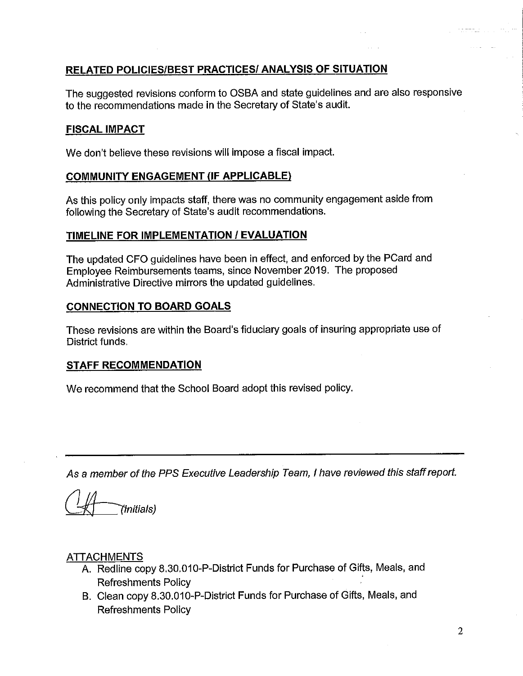### **RELATED POLICIES/BEST PRACTICES/ ANALYSIS OF SITUATION**

The suggested revisions conform to OSBA and state guidelines and are also responsive to the recommendations made in the Secretary of State's audit.

### **FISCAL IMPACT**

We don't believe these revisions will impose a fiscal impact.

### **COMMUNITY ENGAGEMENT (IF APPLICABLE)**

As this policy only impacts staff, there was no community engagement aside from following the Secretary of State's audit recommendations.

### TIMELINE FOR IMPLEMENTATION / EVALUATION

The updated CFO guidelines have been in effect, and enforced by the PCard and Employee Reimbursements teams, since November 2019. The proposed Administrative Directive mirrors the updated guidelines.

### **CONNECTION TO BOARD GOALS**

These revisions are within the Board's fiduciary goals of insuring appropriate use of District funds.

### **STAFF RECOMMENDATION**

We recommend that the School Board adopt this revised policy.

As a member of the PPS Executive Leadership Team, I have reviewed this staff report.

(Initials)

### **ATTACHMENTS**

- A. Redline copy 8.30.010-P-District Funds for Purchase of Gifts, Meals, and **Refreshments Policy**
- B. Clean copy 8.30.010-P-District Funds for Purchase of Gifts, Meals, and **Refreshments Policy**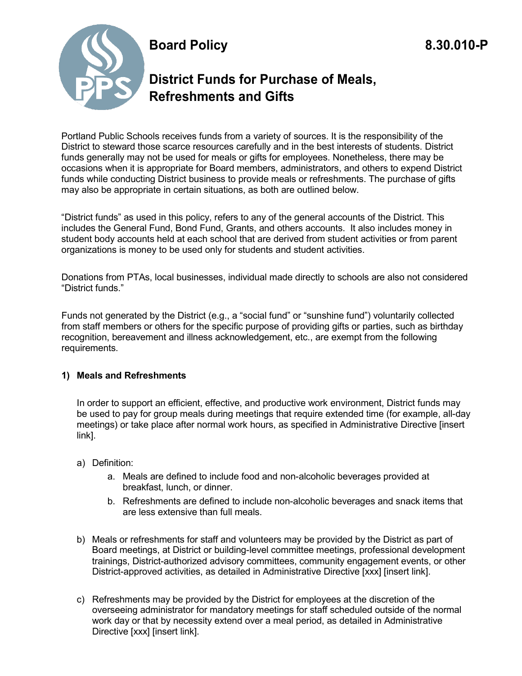# **Board Policy 8.30.010-P**



# **District Funds for Purchase of Meals, Refreshments and Gifts**

Portland Public Schools receives funds from a variety of sources. It is the responsibility of the District to steward those scarce resources carefully and in the best interests of students. District funds generally may not be used for meals or gifts for employees. Nonetheless, there may be occasions when it is appropriate for Board members, administrators, and others to expend District funds while conducting District business to provide meals or refreshments. The purchase of gifts may also be appropriate in certain situations, as both are outlined below.

"District funds" as used in this policy, refers to any of the general accounts of the District. This includes the General Fund, Bond Fund, Grants, and others accounts. It also includes money in student body accounts held at each school that are derived from student activities or from parent organizations is money to be used only for students and student activities.

Donations from PTAs, local businesses, individual made directly to schools are also not considered "District funds."

Funds not generated by the District (e.g., a "social fund" or "sunshine fund") voluntarily collected from staff members or others for the specific purpose of providing gifts or parties, such as birthday recognition, bereavement and illness acknowledgement, etc., are exempt from the following requirements.

### **1) Meals and Refreshments**

In order to support an efficient, effective, and productive work environment, District funds may be used to pay for group meals during meetings that require extended time (for example, all-day meetings) or take place after normal work hours, as specified in Administrative Directive [insert link].

- a) Definition:
	- a. Meals are defined to include food and non-alcoholic beverages provided at breakfast, lunch, or dinner.
	- b. Refreshments are defined to include non-alcoholic beverages and snack items that are less extensive than full meals.
- b) Meals or refreshments for staff and volunteers may be provided by the District as part of Board meetings, at District or building-level committee meetings, professional development trainings, District-authorized advisory committees, community engagement events, or other District-approved activities, as detailed in Administrative Directive [xxx] [insert link].
- c) Refreshments may be provided by the District for employees at the discretion of the overseeing administrator for mandatory meetings for staff scheduled outside of the normal work day or that by necessity extend over a meal period, as detailed in Administrative Directive [xxx] [insert link].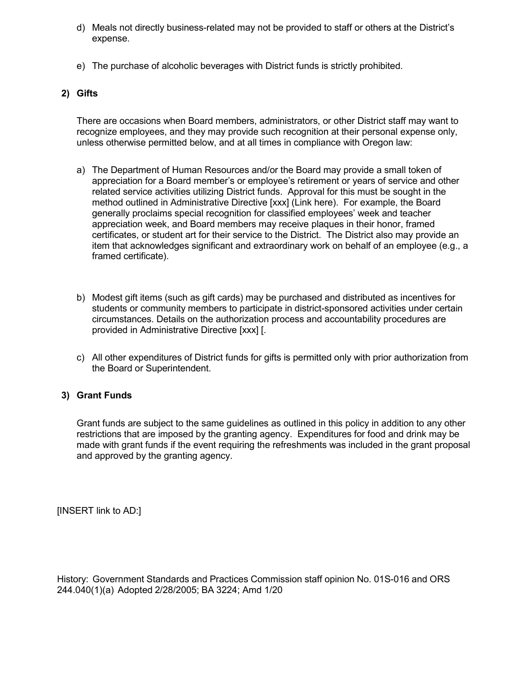- d) Meals not directly business-related may not be provided to staff or others at the District's expense.
- e) The purchase of alcoholic beverages with District funds is strictly prohibited.

### **2) Gifts**

There are occasions when Board members, administrators, or other District staff may want to recognize employees, and they may provide such recognition at their personal expense only, unless otherwise permitted below, and at all times in compliance with Oregon law:

- a) The Department of Human Resources and/or the Board may provide a small token of appreciation for a Board member's or employee's retirement or years of service and other related service activities utilizing District funds. Approval for this must be sought in the method outlined in Administrative Directive [xxx] (Link here). For example, the Board generally proclaims special recognition for classified employees' week and teacher appreciation week, and Board members may receive plaques in their honor, framed certificates, or student art for their service to the District. The District also may provide an item that acknowledges significant and extraordinary work on behalf of an employee (e.g., a framed certificate).
- b) Modest gift items (such as gift cards) may be purchased and distributed as incentives for students or community members to participate in district-sponsored activities under certain circumstances. Details on the authorization process and accountability procedures are provided in Administrative Directive [xxx] [.
- c) All other expenditures of District funds for gifts is permitted only with prior authorization from the Board or Superintendent.

### **3) Grant Funds**

Grant funds are subject to the same guidelines as outlined in this policy in addition to any other restrictions that are imposed by the granting agency. Expenditures for food and drink may be made with grant funds if the event requiring the refreshments was included in the grant proposal and approved by the granting agency.

[INSERT link to AD:]

History: Government Standards and Practices Commission staff opinion No. 01S-016 and ORS 244.040(1)(a) Adopted 2/28/2005; BA 3224; Amd 1/20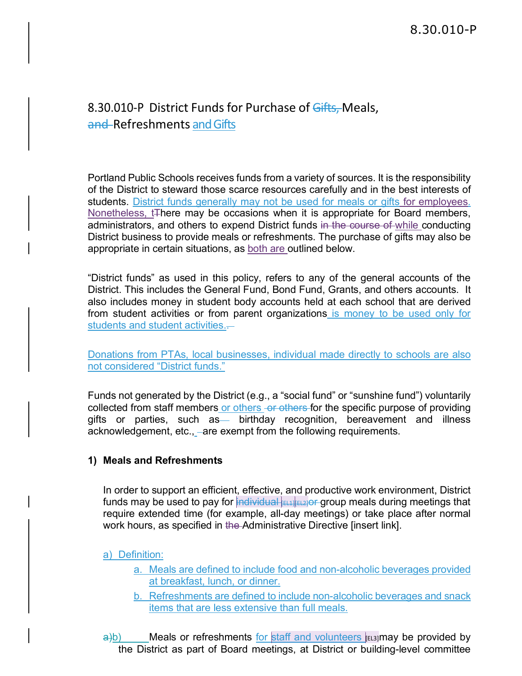# 8.30.010-P District Funds for Purchase of Gifts, Meals, and Refreshments and Gifts

Portland Public Schools receives funds from a variety of sources. It is the responsibility of the District to steward those scarce resources carefully and in the best interests of students. District funds generally may not be used for meals or gifts for employees. Nonetheless, t<sub>There</sub> may be occasions when it is appropriate for Board members, administrators, and others to expend District funds in the course of while conducting District business to provide meals or refreshments. The purchase of gifts may also be appropriate in certain situations, as both are outlined below.

"District funds" as used in this policy, refers to any of the general accounts of the District. This includes the General Fund, Bond Fund, Grants, and others accounts. It also includes money in student body accounts held at each school that are derived from student activities or from parent organizations is money to be used only for students and student activities.-

Donations from PTAs, local businesses, individual made directly to schools are also not considered "District funds."

Funds not generated by the District (e.g., a "social fund" or "sunshine fund") voluntarily collected from staff members or others or others for the specific purpose of providing gifts or parties, such as birthday recognition, bereavement and illness acknowledgement, etc., are exempt from the following requirements.

### **1) Meals and Refreshments**

In order to support an efficient, effective, and productive work environment, District funds may be used to pay for  $\frac{1}{2}$  individual  $\frac{1}{2}$  EL1] functional meals during meetings that require extended time (for example, all-day meetings) or take place after normal work hours, as specified in the Administrative Directive [insert link].

### a) Definition:

- a. Meals are defined to include food and non-alcoholic beverages provided at breakfast, lunch, or dinner.
- b. Refreshments are defined to include non-alcoholic beverages and snack items that are less extensive than full meals.

 $\frac{a}{b}$ ) Meals or refreshments for staff and volunteers [EL3]may be provided by the District as part of Board meetings, at District or building-level committee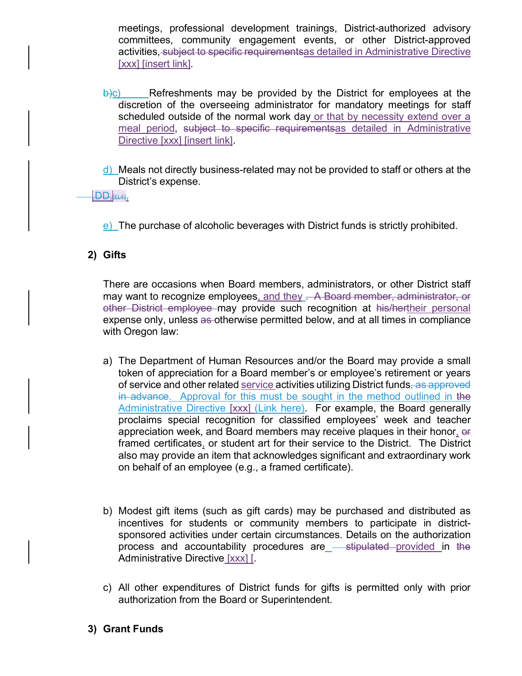meetings, professional development trainings, District-authorized advisory committees, community engagement events, or other District-approved activities, subject to specific requirementsas detailed in Administrative Directive [xxx] [insert link].

- $\frac{b}{c}$  Refreshments may be provided by the District for employees at the discretion of the overseeing administrator for mandatory meetings for staff scheduled outside of the normal work day or that by necessity extend over a meal period, subject to specific requirementsas detailed in Administrative Directive [xxx] [insert link].
- d) Meals not directly business-related may not be provided to staff or others at the District's expense.

### $\overline{\mathsf{FDD}},$ [EL4],

e) The purchase of alcoholic beverages with District funds is strictly prohibited.

### **2) Gifts**

There are occasions when Board members, administrators, or other District staff may want to recognize employees, and they . A Board member, administrator, or other District employee may provide such recognition at his/hertheir personal expense only, unless as otherwise permitted below, and at all times in compliance with Oregon law:

- a) The Department of Human Resources and/or the Board may provide a small token of appreciation for a Board member's or employee's retirement or years of service and other related service activities utilizing District funds, as approved in advance. Approval for this must be sought in the method outlined in the Administrative Directive [xxx] (Link here). For example, the Board generally proclaims special recognition for classified employees' week and teacher appreciation week, and Board members may receive plaques in their honor, or framed certificates, or student art for their service to the District. The District also may provide an item that acknowledges significant and extraordinary work on behalf of an employee (e.g., a framed certificate).
- b) Modest gift items (such as gift cards) may be purchased and distributed as incentives for students or community members to participate in districtsponsored activities under certain circumstances. Details on the authorization process and accountability procedures are <del>stipulated provided in the</del> Administrative Directive [xxx] [.
- c) All other expenditures of District funds for gifts is permitted only with prior authorization from the Board or Superintendent.
- **3) Grant Funds**